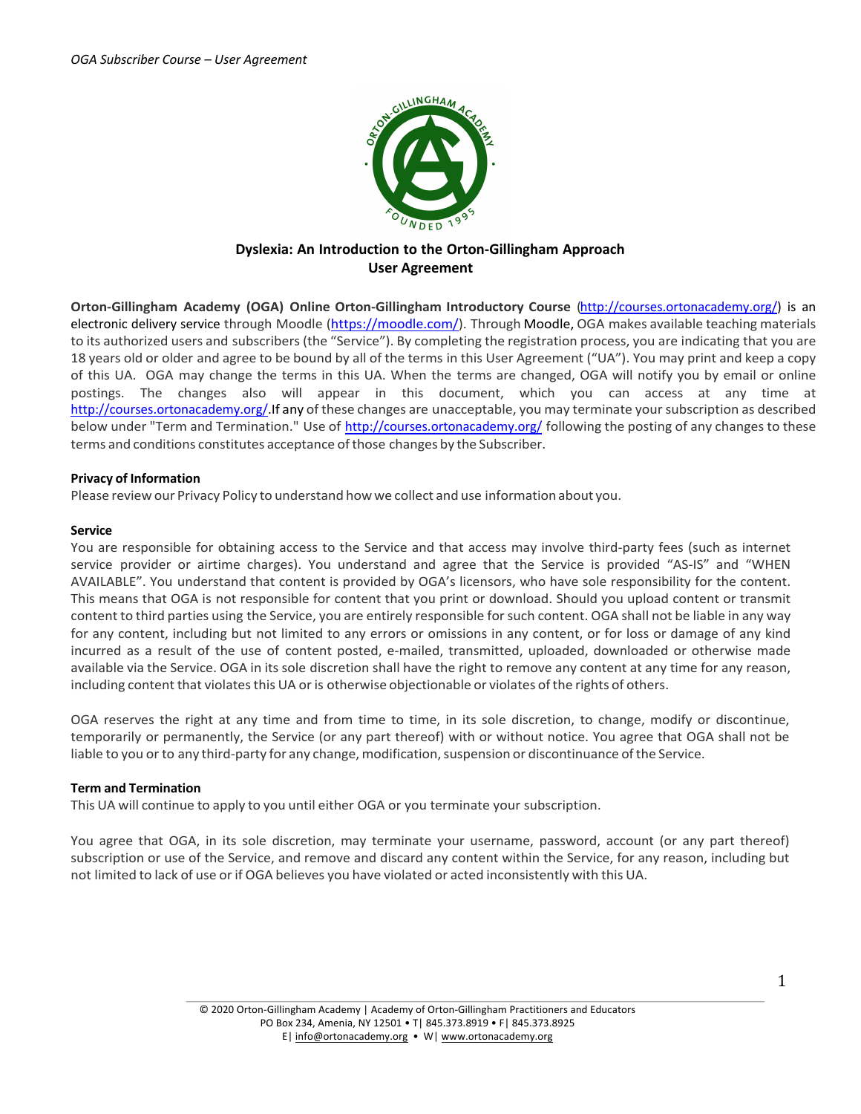

# **Dyslexia: An Introduction to the Orton-Gillingham Approach User Agreement**

**Orton-Gillingham Academy (OGA) Online Orton-Gillingham Introductory Course** (http://courses.ortonacademy.org/) is an electronic delivery service through Moodle (https://moodle.com/). Through Moodle, OGA makes available teaching materials to its authorized users and subscribers (the "Service"). By completing the registration process, you are indicating that you are 18 years old or older and agree to be bound by all of the terms in this User Agreement ("UA"). You may print and keep a copy of this UA. OGA may change the terms in this UA. When the terms are changed, OGA will notify you by email or online postings. The changes also will appear in this document, which you can access at any time at http://courses.ortonacademy.org/.If any of these changes are unacceptable, you may terminate your subscription as described below under "Term and Termination." Use of http://courses.ortonacademy.org/ following the posting of any changes to these terms and conditions constitutes acceptance of those changes by the Subscriber.

# **Privacy of Information**

Please review our Privacy Policy to understand how we collect and use informationabout you.

## **Service**

You are responsible for obtaining access to the Service and that access may involve third-party fees (such as internet service provider or airtime charges). You understand and agree that the Service is provided "AS-IS" and "WHEN AVAILABLE". You understand that content is provided by OGA's licensors, who have sole responsibility for the content. This means that OGA is not responsible for content that you print or download. Should you upload content or transmit content to third parties using the Service, you are entirely responsible forsuch content. OGA shall not be liable in any way for any content, including but not limited to any errors or omissions in any content, or for loss or damage of any kind incurred as a result of the use of content posted, e-mailed, transmitted, uploaded, downloaded or otherwise made available via the Service. OGA in its sole discretion shall have the right to remove any content at any time for any reason, including content that violates this UA or is otherwise objectionable or violates of the rights of others.

OGA reserves the right at any time and from time to time, in its sole discretion, to change, modify or discontinue, temporarily or permanently, the Service (or any part thereof) with or without notice. You agree that OGA shall not be liable to you or to any third-party for any change, modification, suspension or discontinuance of the Service.

## **Term and Termination**

This UA will continue to apply to you until either OGA or you terminate your subscription.

You agree that OGA, in its sole discretion, may terminate your username, password, account (or any part thereof) subscription or use of the Service, and remove and discard any content within the Service, for any reason, including but not limited to lack of use or if OGA believes you have violated or acted inconsistently with this UA.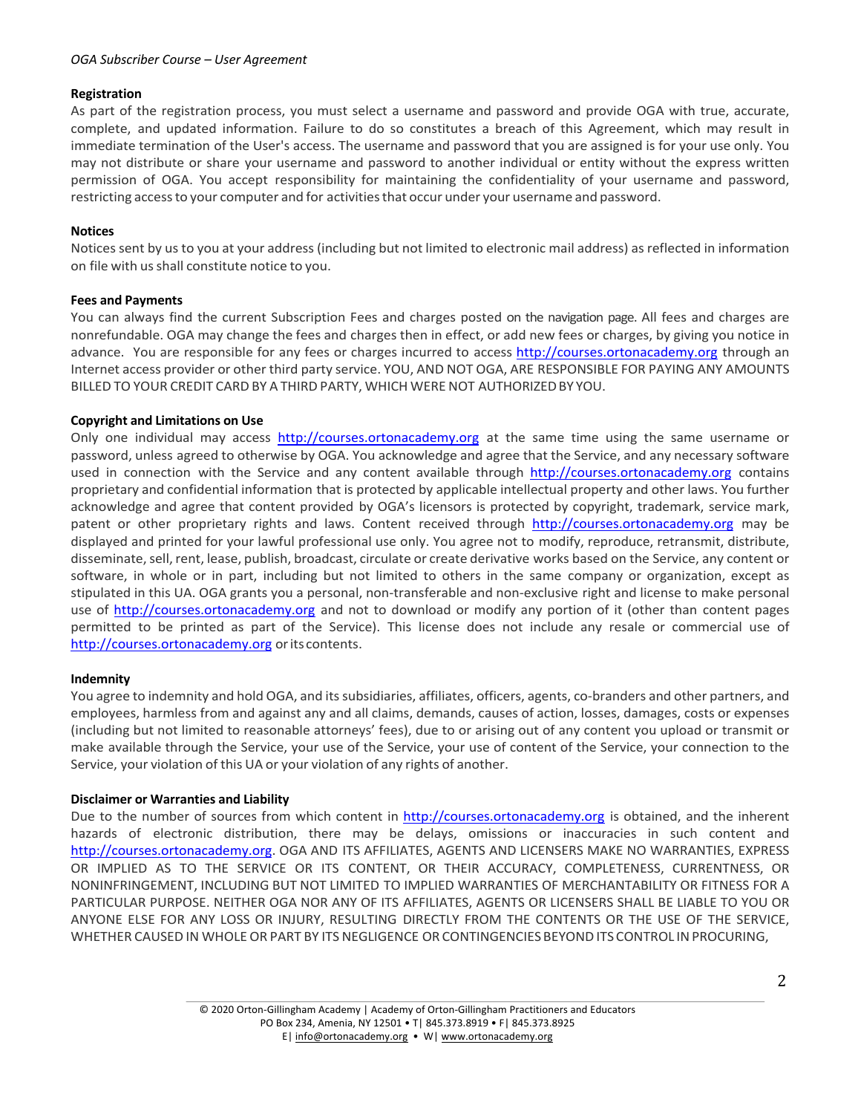## *OGA Subscriber Course – User Agreement*

## **Registration**

As part of the registration process, you must select a username and password and provide OGA with true, accurate, complete, and updated information. Failure to do so constitutes a breach of this Agreement, which may result in immediate termination of the User's access. The username and password that you are assigned is for your use only. You may not distribute or share your username and password to another individual or entity without the express written permission of OGA. You accept responsibility for maintaining the confidentiality of your username and password, restricting accessto your computer and for activitiesthat occur under your username and password.

## **Notices**

Notices sent by us to you at your address (including but not limited to electronic mail address) as reflected in information on file with us shall constitute notice to you.

#### **Fees and Payments**

You can always find the current Subscription Fees and charges posted on the navigation page. All fees and charges are nonrefundable. OGA may change the fees and charges then in effect, or add new fees or charges, by giving you notice in advance. You are responsible for any fees or charges incurred to access http://courses.ortonacademy.org through an Internet access provider or other third party service. YOU, AND NOT OGA, ARE RESPONSIBLE FOR PAYING ANY AMOUNTS BILLED TO YOUR CREDIT CARD BY A THIRD PARTY, WHICH WERE NOT AUTHORIZEDBY YOU.

### **Copyright and Limitations on Use**

Only one individual may access http://courses.ortonacademy.org at the same time using the same username or password, unless agreed to otherwise by OGA. You acknowledge and agree that the Service, and any necessary software used in connection with the Service and any content available through http://courses.ortonacademy.org contains proprietary and confidential information that is protected by applicable intellectual property and other laws. You further acknowledge and agree that content provided by OGA's licensors is protected by copyright, trademark, service mark, patent or other proprietary rights and laws. Content received through http://courses.ortonacademy.org may be displayed and printed for your lawful professional use only. You agree not to modify, reproduce, retransmit, distribute, disseminate, sell, rent, lease, publish, broadcast, circulate or create derivative works based on the Service, any content or software, in whole or in part, including but not limited to others in the same company or organization, except as stipulated in this UA. OGA grants you a personal, non-transferable and non-exclusive right and license to make personal use of http://courses.ortonacademy.org and not to download or modify any portion of it (other than content pages permitted to be printed as part of the Service). This license does not include any resale or commercial use of http://courses.ortonacademy.org orits contents.

#### **Indemnity**

You agree to indemnity and hold OGA, and its subsidiaries, affiliates, officers, agents, co-branders and other partners, and employees, harmless from and against any and all claims, demands, causes of action, losses, damages, costs or expenses (including but not limited to reasonable attorneys' fees), due to or arising out of any content you upload or transmit or make available through the Service, your use of the Service, your use of content of the Service, your connection to the Service, your violation of this UA or your violation of any rights of another.

## **Disclaimer or Warranties and Liability**

Due to the number of sources from which content in http://courses.ortonacademy.org is obtained, and the inherent hazards of electronic distribution, there may be delays, omissions or inaccuracies in such content and http://courses.ortonacademy.org. OGA AND ITS AFFILIATES, AGENTS AND LICENSERS MAKE NO WARRANTIES, EXPRESS OR IMPLIED AS TO THE SERVICE OR ITS CONTENT, OR THEIR ACCURACY, COMPLETENESS, CURRENTNESS, OR NONINFRINGEMENT, INCLUDING BUT NOT LIMITED TO IMPLIED WARRANTIES OF MERCHANTABILITY OR FITNESS FOR A PARTICULAR PURPOSE. NEITHER OGA NOR ANY OF ITS AFFILIATES, AGENTS OR LICENSERS SHALL BE LIABLE TO YOU OR ANYONE ELSE FOR ANY LOSS OR INJURY, RESULTING DIRECTLY FROM THE CONTENTS OR THE USE OF THE SERVICE, WHETHER CAUSED IN WHOLE OR PART BY ITS NEGLIGENCE OR CONTINGENCIES BEYONDITS CONTROL INPROCURING,